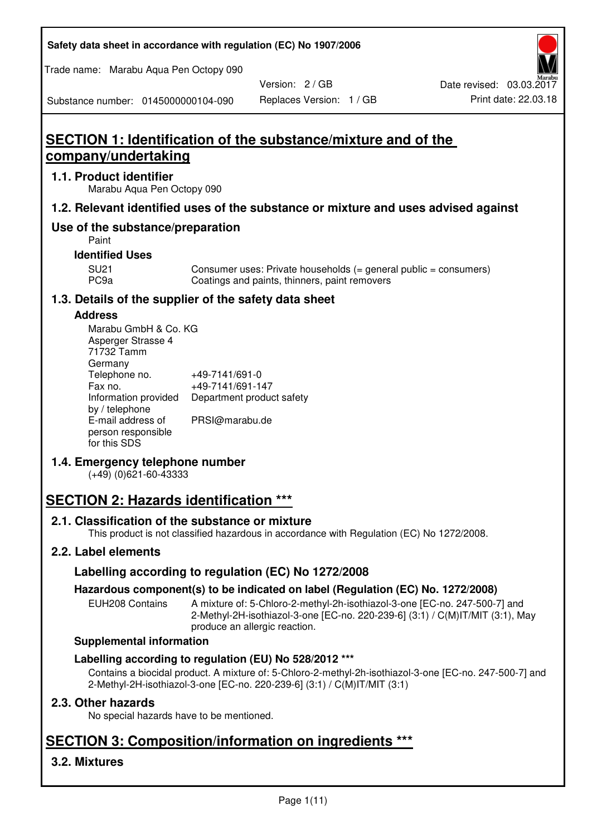| Safety data sheet in accordance with regulation (EC) No 1907/2006 |  |
|-------------------------------------------------------------------|--|
|-------------------------------------------------------------------|--|

Trade name: Marabu Aqua Pen Octopy 090

Version: 2 / GB

Substance number: 0145000000104-090

Replaces Version: 1 / GB Print date: 22.03.18

# **SECTION 1: Identification of the substance/mixture and of the company/undertaking**

# **1.1. Product identifier**

Marabu Aqua Pen Octopy 090

# **1.2. Relevant identified uses of the substance or mixture and uses advised against**

# **Use of the substance/preparation**

Paint

# **Identified Uses**

SU21 Consumer uses: Private households (= general public = consumers)<br>PC9a Coatings and paints, thinners, paint removers Coatings and paints, thinners, paint removers

# **1.3. Details of the supplier of the safety data sheet**

### **Address**

| Marabu GmbH & Co. KG |                           |
|----------------------|---------------------------|
| Asperger Strasse 4   |                           |
| 71732 Tamm           |                           |
| Germany              |                           |
| Telephone no.        | +49-7141/691-0            |
| Fax no.              | +49-7141/691-147          |
| Information provided | Department product safety |
| by / telephone       |                           |
| E-mail address of    | PRSI@marabu.de            |
| person responsible   |                           |
| for this SDS         |                           |

# **1.4. Emergency telephone number**

(+49) (0)621-60-43333

# **SECTION 2: Hazards identification \*\*\***

# **2.1. Classification of the substance or mixture**

This product is not classified hazardous in accordance with Regulation (EC) No 1272/2008.

# **2.2. Label elements**

# **Labelling according to regulation (EC) No 1272/2008**

# **Hazardous component(s) to be indicated on label (Regulation (EC) No. 1272/2008)**

EUH208 Contains A mixture of: 5-Chloro-2-methyl-2h-isothiazol-3-one [EC-no. 247-500-7] and 2-Methyl-2H-isothiazol-3-one [EC-no. 220-239-6] (3:1) / C(M)IT/MIT (3:1), May produce an allergic reaction.

#### **Supplemental information**

# **Labelling according to regulation (EU) No 528/2012 \*\*\***

Contains a biocidal product. A mixture of: 5-Chloro-2-methyl-2h-isothiazol-3-one [EC-no. 247-500-7] and 2-Methyl-2H-isothiazol-3-one [EC-no. 220-239-6] (3:1) / C(M)IT/MIT (3:1)

# **2.3. Other hazards**

No special hazards have to be mentioned.

# **SECTION 3: Composition/information on ingredients \*\*\***

# **3.2. Mixtures**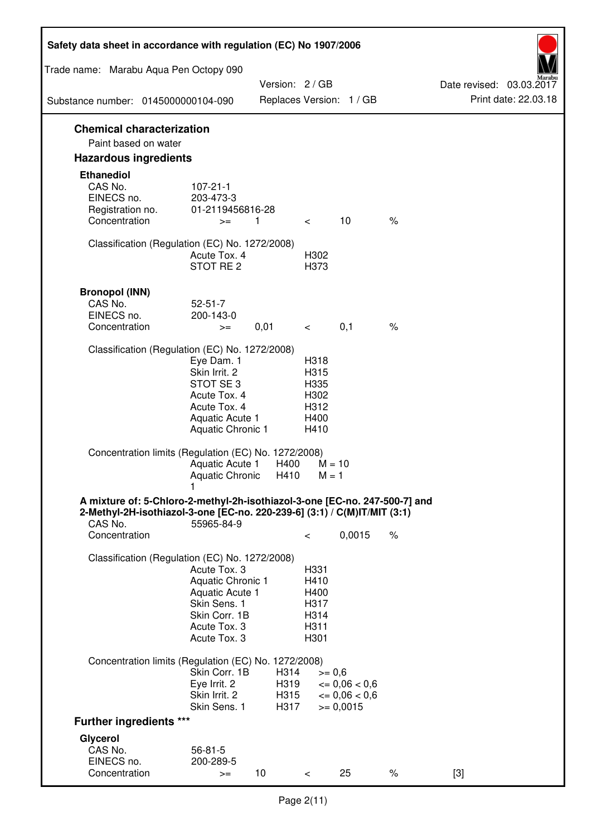| Safety data sheet in accordance with regulation (EC) No 1907/2006                                                                                                 |                                                                                                                       |                              |                                                      |                                                                  |      |                                                  |
|-------------------------------------------------------------------------------------------------------------------------------------------------------------------|-----------------------------------------------------------------------------------------------------------------------|------------------------------|------------------------------------------------------|------------------------------------------------------------------|------|--------------------------------------------------|
| Trade name: Marabu Aqua Pen Octopy 090                                                                                                                            |                                                                                                                       |                              |                                                      |                                                                  |      |                                                  |
|                                                                                                                                                                   |                                                                                                                       | Version: 2 / GB              |                                                      |                                                                  |      | Date revised: 03.03.2017<br>Print date: 22.03.18 |
| Substance number: 0145000000104-090                                                                                                                               |                                                                                                                       |                              |                                                      | Replaces Version: 1 / GB                                         |      |                                                  |
| <b>Chemical characterization</b><br>Paint based on water                                                                                                          |                                                                                                                       |                              |                                                      |                                                                  |      |                                                  |
| <b>Hazardous ingredients</b>                                                                                                                                      |                                                                                                                       |                              |                                                      |                                                                  |      |                                                  |
| <b>Ethanediol</b><br>CAS No.<br>EINECS no.<br>Registration no.<br>Concentration                                                                                   | $107 - 21 - 1$<br>203-473-3<br>01-2119456816-28<br>$>=$                                                               | 1                            | $\lt$ $\sim$                                         | 10                                                               | $\%$ |                                                  |
| Classification (Regulation (EC) No. 1272/2008)                                                                                                                    | Acute Tox. 4<br>STOT RE 2                                                                                             |                              | H302<br>H373                                         |                                                                  |      |                                                  |
| <b>Bronopol (INN)</b><br>CAS No.<br>EINECS no.<br>Concentration                                                                                                   | $52 - 51 - 7$<br>200-143-0<br>$>=$                                                                                    | 0,01                         | $\lt$ $\sim$                                         | 0,1                                                              | $\%$ |                                                  |
| Classification (Regulation (EC) No. 1272/2008)                                                                                                                    |                                                                                                                       |                              |                                                      |                                                                  |      |                                                  |
|                                                                                                                                                                   | Eye Dam. 1<br>Skin Irrit. 2<br>STOT SE3<br>Acute Tox. 4<br>Acute Tox. 4<br>Aquatic Acute 1<br>Aquatic Chronic 1       |                              | H318<br>H315<br>H335<br>H302<br>H312<br>H400<br>H410 |                                                                  |      |                                                  |
| Concentration limits (Regulation (EC) No. 1272/2008)                                                                                                              | Aquatic Acute 1<br>Aquatic Chronic $H410$ M = 1                                                                       | H400                         | $M = 10$                                             |                                                                  |      |                                                  |
| A mixture of: 5-Chloro-2-methyl-2h-isothiazol-3-one [EC-no. 247-500-7] and<br>2-Methyl-2H-isothiazol-3-one [EC-no. 220-239-6] (3:1) / C(M)IT/MIT (3:1)<br>CAS No. | 55965-84-9                                                                                                            |                              |                                                      |                                                                  |      |                                                  |
| Concentration                                                                                                                                                     |                                                                                                                       |                              | $\,<\,$                                              | 0,0015                                                           | $\%$ |                                                  |
| Classification (Regulation (EC) No. 1272/2008)                                                                                                                    | Acute Tox. 3<br>Aquatic Chronic 1<br>Aquatic Acute 1<br>Skin Sens. 1<br>Skin Corr. 1B<br>Acute Tox. 3<br>Acute Tox. 3 |                              | H331<br>H410<br>H400<br>H317<br>H314<br>H311<br>H301 |                                                                  |      |                                                  |
| Concentration limits (Regulation (EC) No. 1272/2008)                                                                                                              |                                                                                                                       |                              |                                                      |                                                                  |      |                                                  |
|                                                                                                                                                                   | Skin Corr. 1B<br>Eye Irrit. 2<br>Skin Irrit. 2<br>Skin Sens. 1                                                        | H314<br>H319<br>H315<br>H317 | $>= 0,6$                                             | $\epsilon = 0.06 < 0.6$<br>$\epsilon = 0.06 < 0.6$<br>$= 0,0015$ |      |                                                  |
| <b>Further ingredients ***</b>                                                                                                                                    |                                                                                                                       |                              |                                                      |                                                                  |      |                                                  |
| Glycerol<br>CAS No.<br>EINECS no.<br>Concentration                                                                                                                | $56 - 81 - 5$<br>200-289-5<br>$>=$                                                                                    | 10 <sup>°</sup>              | $\,<\,$                                              | 25                                                               | $\%$ | $[3]$                                            |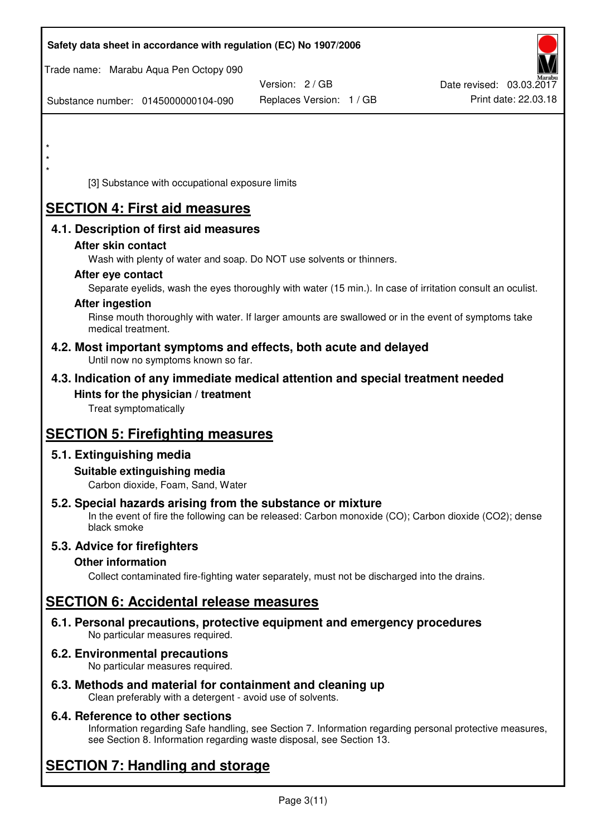| Safety data sheet in accordance with regulation (EC) No 1907/2006                                            |                          |                                                                                                            |
|--------------------------------------------------------------------------------------------------------------|--------------------------|------------------------------------------------------------------------------------------------------------|
| Trade name: Marabu Aqua Pen Octopy 090                                                                       |                          |                                                                                                            |
|                                                                                                              | Version: 2/GB            | Date revised: 03.03.2017                                                                                   |
| Substance number: 0145000000104-090                                                                          | Replaces Version: 1 / GB | Print date: 22.03.18                                                                                       |
|                                                                                                              |                          |                                                                                                            |
| $\star$                                                                                                      |                          |                                                                                                            |
|                                                                                                              |                          |                                                                                                            |
| [3] Substance with occupational exposure limits                                                              |                          |                                                                                                            |
| <b>SECTION 4: First aid measures</b>                                                                         |                          |                                                                                                            |
| 4.1. Description of first aid measures                                                                       |                          |                                                                                                            |
| After skin contact                                                                                           |                          |                                                                                                            |
| Wash with plenty of water and soap. Do NOT use solvents or thinners.                                         |                          |                                                                                                            |
| After eye contact                                                                                            |                          |                                                                                                            |
|                                                                                                              |                          | Separate eyelids, wash the eyes thoroughly with water (15 min.). In case of irritation consult an oculist. |
| <b>After ingestion</b>                                                                                       |                          | Rinse mouth thoroughly with water. If larger amounts are swallowed or in the event of symptoms take        |
| medical treatment.                                                                                           |                          |                                                                                                            |
| 4.2. Most important symptoms and effects, both acute and delayed<br>Until now no symptoms known so far.      |                          |                                                                                                            |
| 4.3. Indication of any immediate medical attention and special treatment needed                              |                          |                                                                                                            |
| Hints for the physician / treatment                                                                          |                          |                                                                                                            |
| Treat symptomatically                                                                                        |                          |                                                                                                            |
| <b>SECTION 5: Firefighting measures</b>                                                                      |                          |                                                                                                            |
| 5.1. Extinguishing media                                                                                     |                          |                                                                                                            |
| Suitable extinguishing media                                                                                 |                          |                                                                                                            |
| Carbon dioxide, Foam, Sand, Water                                                                            |                          |                                                                                                            |
| 5.2. Special hazards arising from the substance or mixture                                                   |                          |                                                                                                            |
| black smoke                                                                                                  |                          | In the event of fire the following can be released: Carbon monoxide (CO); Carbon dioxide (CO2); dense      |
| 5.3. Advice for firefighters                                                                                 |                          |                                                                                                            |
| <b>Other information</b>                                                                                     |                          |                                                                                                            |
| Collect contaminated fire-fighting water separately, must not be discharged into the drains.                 |                          |                                                                                                            |
| <b>SECTION 6: Accidental release measures</b>                                                                |                          |                                                                                                            |
| 6.1. Personal precautions, protective equipment and emergency procedures<br>No particular measures required. |                          |                                                                                                            |
| <b>6.2. Environmental precautions</b><br>No particular measures required.                                    |                          |                                                                                                            |
|                                                                                                              |                          |                                                                                                            |

**6.3. Methods and material for containment and cleaning up**  Clean preferably with a detergent - avoid use of solvents.

# **6.4. Reference to other sections**

Information regarding Safe handling, see Section 7. Information regarding personal protective measures, see Section 8. Information regarding waste disposal, see Section 13.

# **SECTION 7: Handling and storage**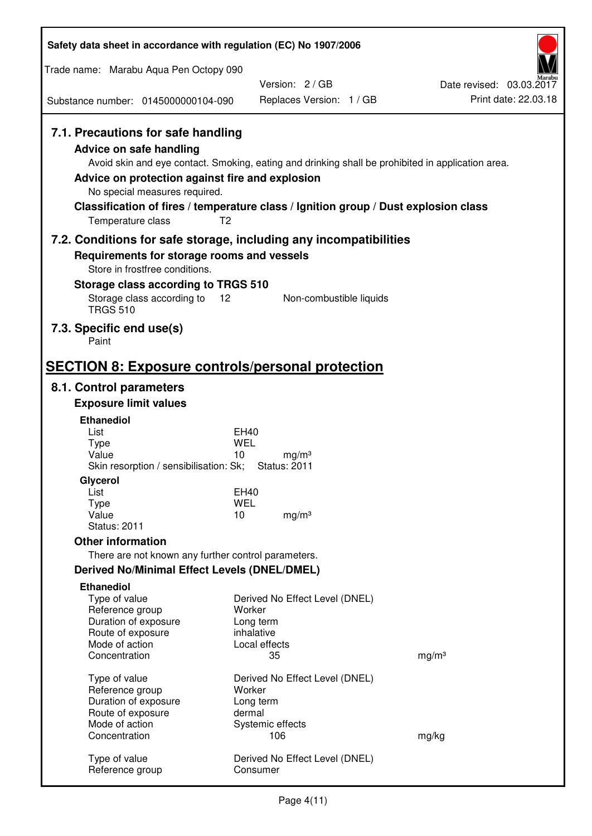| Safety data sheet in accordance with regulation (EC) No 1907/2006                                                                                                                        |                                                                                                                                                                                          |                                                  |
|------------------------------------------------------------------------------------------------------------------------------------------------------------------------------------------|------------------------------------------------------------------------------------------------------------------------------------------------------------------------------------------|--------------------------------------------------|
| Trade name: Marabu Aqua Pen Octopy 090                                                                                                                                                   |                                                                                                                                                                                          |                                                  |
| Substance number: 0145000000104-090                                                                                                                                                      | Version: 2/GB<br>Replaces Version: 1 / GB                                                                                                                                                | Date revised: 03.03.2017<br>Print date: 22.03.18 |
|                                                                                                                                                                                          |                                                                                                                                                                                          |                                                  |
| 7.1. Precautions for safe handling<br><b>Advice on safe handling</b><br>Advice on protection against fire and explosion<br>No special measures required.<br>T <sub>2</sub>               | Avoid skin and eye contact. Smoking, eating and drinking shall be prohibited in application area.<br>Classification of fires / temperature class / Ignition group / Dust explosion class |                                                  |
| Temperature class                                                                                                                                                                        |                                                                                                                                                                                          |                                                  |
| 7.2. Conditions for safe storage, including any incompatibilities<br>Requirements for storage rooms and vessels<br>Store in frostfree conditions.<br>Storage class according to TRGS 510 |                                                                                                                                                                                          |                                                  |
| Storage class according to<br>12<br><b>TRGS 510</b>                                                                                                                                      | Non-combustible liquids                                                                                                                                                                  |                                                  |
| 7.3. Specific end use(s)<br>Paint                                                                                                                                                        |                                                                                                                                                                                          |                                                  |
| <b>SECTION 8: Exposure controls/personal protection</b>                                                                                                                                  |                                                                                                                                                                                          |                                                  |
| 8.1. Control parameters                                                                                                                                                                  |                                                                                                                                                                                          |                                                  |
| <b>Exposure limit values</b>                                                                                                                                                             |                                                                                                                                                                                          |                                                  |
| <b>Ethanediol</b><br>List                                                                                                                                                                | EH40                                                                                                                                                                                     |                                                  |
| <b>Type</b>                                                                                                                                                                              | <b>WEL</b>                                                                                                                                                                               |                                                  |
| Value<br>Skin resorption / sensibilisation: Sk;                                                                                                                                          | 10<br>mg/m <sup>3</sup><br><b>Status: 2011</b>                                                                                                                                           |                                                  |
| Glycerol                                                                                                                                                                                 |                                                                                                                                                                                          |                                                  |
| List                                                                                                                                                                                     | EH40                                                                                                                                                                                     |                                                  |
| Type<br>Value                                                                                                                                                                            | <b>WEL</b><br>10<br>mg/m <sup>3</sup>                                                                                                                                                    |                                                  |
| <b>Status: 2011</b>                                                                                                                                                                      |                                                                                                                                                                                          |                                                  |
| <b>Other information</b>                                                                                                                                                                 |                                                                                                                                                                                          |                                                  |
| There are not known any further control parameters.                                                                                                                                      |                                                                                                                                                                                          |                                                  |
| <b>Derived No/Minimal Effect Levels (DNEL/DMEL)</b>                                                                                                                                      |                                                                                                                                                                                          |                                                  |
| <b>Ethanediol</b><br>Type of value<br>Reference group<br>Duration of exposure<br>Route of exposure                                                                                       | Derived No Effect Level (DNEL)<br>Worker<br>Long term<br>inhalative                                                                                                                      |                                                  |
| Mode of action<br>Concentration                                                                                                                                                          | Local effects<br>35                                                                                                                                                                      | mg/m <sup>3</sup>                                |
|                                                                                                                                                                                          |                                                                                                                                                                                          |                                                  |
| Type of value<br>Reference group                                                                                                                                                         | Derived No Effect Level (DNEL)<br>Worker                                                                                                                                                 |                                                  |
| Duration of exposure                                                                                                                                                                     | Long term                                                                                                                                                                                |                                                  |
| Route of exposure                                                                                                                                                                        | dermal                                                                                                                                                                                   |                                                  |
| Mode of action<br>Concentration                                                                                                                                                          | Systemic effects<br>106                                                                                                                                                                  | mg/kg                                            |
| Type of value<br>Reference group                                                                                                                                                         | Derived No Effect Level (DNEL)<br>Consumer                                                                                                                                               |                                                  |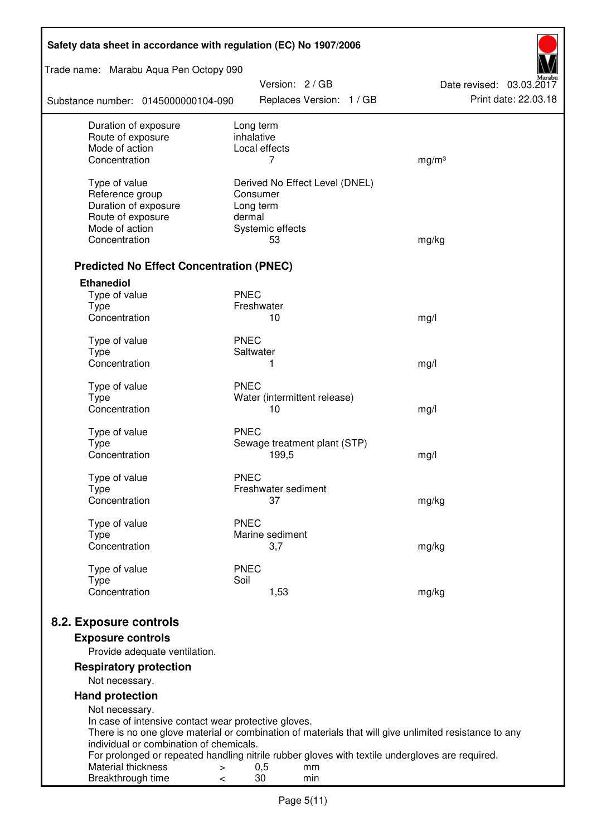| Safety data sheet in accordance with regulation (EC) No 1907/2006 |                                                                                                       |                          |  |  |
|-------------------------------------------------------------------|-------------------------------------------------------------------------------------------------------|--------------------------|--|--|
| Trade name: Marabu Aqua Pen Octopy 090                            | Version: 2 / GB                                                                                       | Date revised: 03.03.2017 |  |  |
| Substance number: 0145000000104-090                               | Replaces Version: 1 / GB                                                                              | Print date: 22.03.18     |  |  |
| Duration of exposure                                              | Long term                                                                                             |                          |  |  |
| Route of exposure<br>Mode of action                               | inhalative<br>Local effects                                                                           |                          |  |  |
| Concentration                                                     | 7                                                                                                     | mg/m <sup>3</sup>        |  |  |
|                                                                   |                                                                                                       |                          |  |  |
| Type of value                                                     | Derived No Effect Level (DNEL)                                                                        |                          |  |  |
| Reference group                                                   | Consumer                                                                                              |                          |  |  |
| Duration of exposure<br>Route of exposure                         | Long term<br>dermal                                                                                   |                          |  |  |
| Mode of action                                                    | Systemic effects                                                                                      |                          |  |  |
| Concentration                                                     | 53                                                                                                    | mg/kg                    |  |  |
|                                                                   |                                                                                                       |                          |  |  |
| <b>Predicted No Effect Concentration (PNEC)</b>                   |                                                                                                       |                          |  |  |
| <b>Ethanediol</b>                                                 |                                                                                                       |                          |  |  |
| Type of value                                                     | <b>PNEC</b>                                                                                           |                          |  |  |
| <b>Type</b><br>Concentration                                      | Freshwater<br>10                                                                                      | mg/l                     |  |  |
|                                                                   |                                                                                                       |                          |  |  |
| Type of value                                                     | <b>PNEC</b>                                                                                           |                          |  |  |
| <b>Type</b>                                                       | Saltwater                                                                                             |                          |  |  |
| Concentration                                                     | 1                                                                                                     | mg/l                     |  |  |
| Type of value                                                     | <b>PNEC</b>                                                                                           |                          |  |  |
| <b>Type</b>                                                       | Water (intermittent release)                                                                          |                          |  |  |
| Concentration                                                     | 10                                                                                                    | mg/l                     |  |  |
| Type of value                                                     | <b>PNEC</b>                                                                                           |                          |  |  |
| <b>Type</b>                                                       | Sewage treatment plant (STP)                                                                          |                          |  |  |
| Concentration                                                     | 199,5                                                                                                 | mg/l                     |  |  |
| Type of value                                                     | <b>PNEC</b>                                                                                           |                          |  |  |
| Type                                                              | Freshwater sediment                                                                                   |                          |  |  |
| Concentration                                                     | 37                                                                                                    | mg/kg                    |  |  |
| Type of value                                                     | <b>PNEC</b>                                                                                           |                          |  |  |
| <b>Type</b>                                                       | Marine sediment                                                                                       |                          |  |  |
| Concentration                                                     | 3,7                                                                                                   | mg/kg                    |  |  |
|                                                                   |                                                                                                       |                          |  |  |
| Type of value<br><b>Type</b>                                      | <b>PNEC</b><br>Soil                                                                                   |                          |  |  |
| Concentration                                                     | 1,53                                                                                                  | mg/kg                    |  |  |
|                                                                   |                                                                                                       |                          |  |  |
| 8.2. Exposure controls                                            |                                                                                                       |                          |  |  |
| <b>Exposure controls</b>                                          |                                                                                                       |                          |  |  |
| Provide adequate ventilation.                                     |                                                                                                       |                          |  |  |
| <b>Respiratory protection</b>                                     |                                                                                                       |                          |  |  |
| Not necessary.                                                    |                                                                                                       |                          |  |  |
| <b>Hand protection</b>                                            |                                                                                                       |                          |  |  |
| Not necessary.                                                    |                                                                                                       |                          |  |  |
| In case of intensive contact wear protective gloves.              |                                                                                                       |                          |  |  |
| individual or combination of chemicals.                           | There is no one glove material or combination of materials that will give unlimited resistance to any |                          |  |  |
|                                                                   | For prolonged or repeated handling nitrile rubber gloves with textile undergloves are required.       |                          |  |  |
| Material thickness<br>>                                           | 0,5<br>mm                                                                                             |                          |  |  |
| Breakthrough time<br><                                            | 30<br>min                                                                                             |                          |  |  |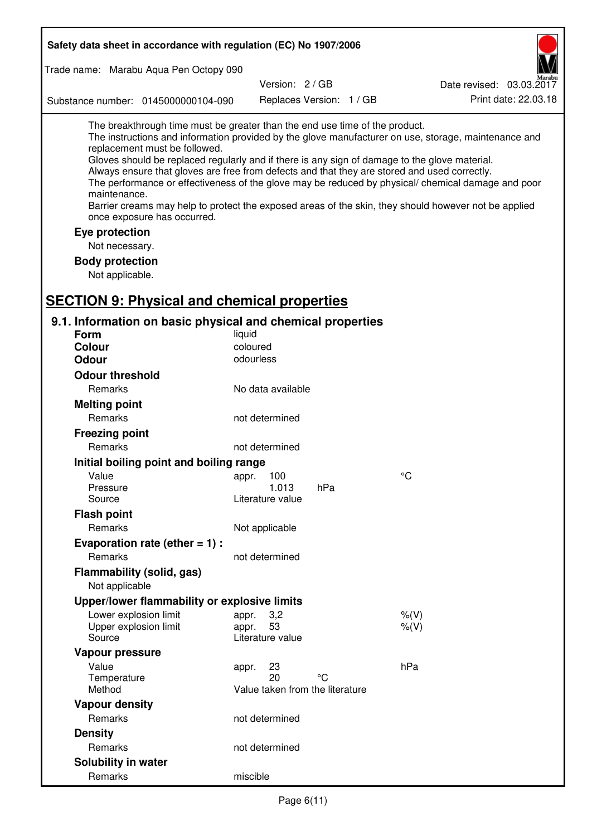| Trade name: Marabu Aqua Pen Octopy 090<br>Version: 2 / GB<br>Date revised: 03.03.2017<br>Print date: 22.03.18<br>Replaces Version: 1 / GB<br>Substance number: 0145000000104-090<br>The breakthrough time must be greater than the end use time of the product.<br>The instructions and information provided by the glove manufacturer on use, storage, maintenance and<br>replacement must be followed.<br>Gloves should be replaced regularly and if there is any sign of damage to the glove material.<br>Always ensure that gloves are free from defects and that they are stored and used correctly.<br>The performance or effectiveness of the glove may be reduced by physical/ chemical damage and poor<br>maintenance.<br>Barrier creams may help to protect the exposed areas of the skin, they should however not be applied<br>once exposure has occurred.<br>Eye protection<br>Not necessary.<br><b>Body protection</b><br>Not applicable.<br><b>SECTION 9: Physical and chemical properties</b><br>9.1. Information on basic physical and chemical properties<br><b>Form</b><br>liquid<br>coloured<br><b>Colour</b><br><b>Odour</b><br>odourless<br><b>Odour threshold</b><br>Remarks<br>No data available<br><b>Melting point</b><br>Remarks<br>not determined<br><b>Freezing point</b><br>Remarks<br>not determined<br>Initial boiling point and boiling range<br>°C<br>Value<br>appr. 100<br>1.013<br>hPa<br>Pressure<br>Source<br>Literature value<br><b>Flash point</b><br>Remarks<br>Not applicable<br>Evaporation rate (ether $= 1$ ) :<br>Remarks<br>not determined<br>Flammability (solid, gas)<br>Not applicable<br>Upper/lower flammability or explosive limits<br>Lower explosion limit<br>3,2<br>$%$ (V)<br>appr.<br>53<br>Upper explosion limit<br>$%$ (V)<br>appr.<br>Source<br>Literature value<br>Vapour pressure<br>hPa<br>Value<br>23<br>appr.<br>20<br>Temperature<br>°C<br>Method<br>Value taken from the literature<br><b>Vapour density</b><br>Remarks<br>not determined<br><b>Density</b><br>Remarks<br>not determined<br>Solubility in water<br>Remarks<br>miscible | Safety data sheet in accordance with regulation (EC) No 1907/2006 |  |  |  |  |  |
|------------------------------------------------------------------------------------------------------------------------------------------------------------------------------------------------------------------------------------------------------------------------------------------------------------------------------------------------------------------------------------------------------------------------------------------------------------------------------------------------------------------------------------------------------------------------------------------------------------------------------------------------------------------------------------------------------------------------------------------------------------------------------------------------------------------------------------------------------------------------------------------------------------------------------------------------------------------------------------------------------------------------------------------------------------------------------------------------------------------------------------------------------------------------------------------------------------------------------------------------------------------------------------------------------------------------------------------------------------------------------------------------------------------------------------------------------------------------------------------------------------------------------------------------------------------------------------------------------------------------------------------------------------------------------------------------------------------------------------------------------------------------------------------------------------------------------------------------------------------------------------------------------------------------------------------------------------------------------------------------------------------------------------------------------------------------------------------------------------|-------------------------------------------------------------------|--|--|--|--|--|
|                                                                                                                                                                                                                                                                                                                                                                                                                                                                                                                                                                                                                                                                                                                                                                                                                                                                                                                                                                                                                                                                                                                                                                                                                                                                                                                                                                                                                                                                                                                                                                                                                                                                                                                                                                                                                                                                                                                                                                                                                                                                                                            |                                                                   |  |  |  |  |  |
|                                                                                                                                                                                                                                                                                                                                                                                                                                                                                                                                                                                                                                                                                                                                                                                                                                                                                                                                                                                                                                                                                                                                                                                                                                                                                                                                                                                                                                                                                                                                                                                                                                                                                                                                                                                                                                                                                                                                                                                                                                                                                                            |                                                                   |  |  |  |  |  |
|                                                                                                                                                                                                                                                                                                                                                                                                                                                                                                                                                                                                                                                                                                                                                                                                                                                                                                                                                                                                                                                                                                                                                                                                                                                                                                                                                                                                                                                                                                                                                                                                                                                                                                                                                                                                                                                                                                                                                                                                                                                                                                            |                                                                   |  |  |  |  |  |
|                                                                                                                                                                                                                                                                                                                                                                                                                                                                                                                                                                                                                                                                                                                                                                                                                                                                                                                                                                                                                                                                                                                                                                                                                                                                                                                                                                                                                                                                                                                                                                                                                                                                                                                                                                                                                                                                                                                                                                                                                                                                                                            |                                                                   |  |  |  |  |  |
|                                                                                                                                                                                                                                                                                                                                                                                                                                                                                                                                                                                                                                                                                                                                                                                                                                                                                                                                                                                                                                                                                                                                                                                                                                                                                                                                                                                                                                                                                                                                                                                                                                                                                                                                                                                                                                                                                                                                                                                                                                                                                                            |                                                                   |  |  |  |  |  |
|                                                                                                                                                                                                                                                                                                                                                                                                                                                                                                                                                                                                                                                                                                                                                                                                                                                                                                                                                                                                                                                                                                                                                                                                                                                                                                                                                                                                                                                                                                                                                                                                                                                                                                                                                                                                                                                                                                                                                                                                                                                                                                            |                                                                   |  |  |  |  |  |
|                                                                                                                                                                                                                                                                                                                                                                                                                                                                                                                                                                                                                                                                                                                                                                                                                                                                                                                                                                                                                                                                                                                                                                                                                                                                                                                                                                                                                                                                                                                                                                                                                                                                                                                                                                                                                                                                                                                                                                                                                                                                                                            |                                                                   |  |  |  |  |  |
|                                                                                                                                                                                                                                                                                                                                                                                                                                                                                                                                                                                                                                                                                                                                                                                                                                                                                                                                                                                                                                                                                                                                                                                                                                                                                                                                                                                                                                                                                                                                                                                                                                                                                                                                                                                                                                                                                                                                                                                                                                                                                                            |                                                                   |  |  |  |  |  |
|                                                                                                                                                                                                                                                                                                                                                                                                                                                                                                                                                                                                                                                                                                                                                                                                                                                                                                                                                                                                                                                                                                                                                                                                                                                                                                                                                                                                                                                                                                                                                                                                                                                                                                                                                                                                                                                                                                                                                                                                                                                                                                            |                                                                   |  |  |  |  |  |
|                                                                                                                                                                                                                                                                                                                                                                                                                                                                                                                                                                                                                                                                                                                                                                                                                                                                                                                                                                                                                                                                                                                                                                                                                                                                                                                                                                                                                                                                                                                                                                                                                                                                                                                                                                                                                                                                                                                                                                                                                                                                                                            |                                                                   |  |  |  |  |  |
|                                                                                                                                                                                                                                                                                                                                                                                                                                                                                                                                                                                                                                                                                                                                                                                                                                                                                                                                                                                                                                                                                                                                                                                                                                                                                                                                                                                                                                                                                                                                                                                                                                                                                                                                                                                                                                                                                                                                                                                                                                                                                                            |                                                                   |  |  |  |  |  |
|                                                                                                                                                                                                                                                                                                                                                                                                                                                                                                                                                                                                                                                                                                                                                                                                                                                                                                                                                                                                                                                                                                                                                                                                                                                                                                                                                                                                                                                                                                                                                                                                                                                                                                                                                                                                                                                                                                                                                                                                                                                                                                            |                                                                   |  |  |  |  |  |
|                                                                                                                                                                                                                                                                                                                                                                                                                                                                                                                                                                                                                                                                                                                                                                                                                                                                                                                                                                                                                                                                                                                                                                                                                                                                                                                                                                                                                                                                                                                                                                                                                                                                                                                                                                                                                                                                                                                                                                                                                                                                                                            |                                                                   |  |  |  |  |  |
|                                                                                                                                                                                                                                                                                                                                                                                                                                                                                                                                                                                                                                                                                                                                                                                                                                                                                                                                                                                                                                                                                                                                                                                                                                                                                                                                                                                                                                                                                                                                                                                                                                                                                                                                                                                                                                                                                                                                                                                                                                                                                                            |                                                                   |  |  |  |  |  |
|                                                                                                                                                                                                                                                                                                                                                                                                                                                                                                                                                                                                                                                                                                                                                                                                                                                                                                                                                                                                                                                                                                                                                                                                                                                                                                                                                                                                                                                                                                                                                                                                                                                                                                                                                                                                                                                                                                                                                                                                                                                                                                            |                                                                   |  |  |  |  |  |
|                                                                                                                                                                                                                                                                                                                                                                                                                                                                                                                                                                                                                                                                                                                                                                                                                                                                                                                                                                                                                                                                                                                                                                                                                                                                                                                                                                                                                                                                                                                                                                                                                                                                                                                                                                                                                                                                                                                                                                                                                                                                                                            |                                                                   |  |  |  |  |  |
|                                                                                                                                                                                                                                                                                                                                                                                                                                                                                                                                                                                                                                                                                                                                                                                                                                                                                                                                                                                                                                                                                                                                                                                                                                                                                                                                                                                                                                                                                                                                                                                                                                                                                                                                                                                                                                                                                                                                                                                                                                                                                                            |                                                                   |  |  |  |  |  |
|                                                                                                                                                                                                                                                                                                                                                                                                                                                                                                                                                                                                                                                                                                                                                                                                                                                                                                                                                                                                                                                                                                                                                                                                                                                                                                                                                                                                                                                                                                                                                                                                                                                                                                                                                                                                                                                                                                                                                                                                                                                                                                            |                                                                   |  |  |  |  |  |
|                                                                                                                                                                                                                                                                                                                                                                                                                                                                                                                                                                                                                                                                                                                                                                                                                                                                                                                                                                                                                                                                                                                                                                                                                                                                                                                                                                                                                                                                                                                                                                                                                                                                                                                                                                                                                                                                                                                                                                                                                                                                                                            |                                                                   |  |  |  |  |  |
|                                                                                                                                                                                                                                                                                                                                                                                                                                                                                                                                                                                                                                                                                                                                                                                                                                                                                                                                                                                                                                                                                                                                                                                                                                                                                                                                                                                                                                                                                                                                                                                                                                                                                                                                                                                                                                                                                                                                                                                                                                                                                                            |                                                                   |  |  |  |  |  |
|                                                                                                                                                                                                                                                                                                                                                                                                                                                                                                                                                                                                                                                                                                                                                                                                                                                                                                                                                                                                                                                                                                                                                                                                                                                                                                                                                                                                                                                                                                                                                                                                                                                                                                                                                                                                                                                                                                                                                                                                                                                                                                            |                                                                   |  |  |  |  |  |
|                                                                                                                                                                                                                                                                                                                                                                                                                                                                                                                                                                                                                                                                                                                                                                                                                                                                                                                                                                                                                                                                                                                                                                                                                                                                                                                                                                                                                                                                                                                                                                                                                                                                                                                                                                                                                                                                                                                                                                                                                                                                                                            |                                                                   |  |  |  |  |  |
|                                                                                                                                                                                                                                                                                                                                                                                                                                                                                                                                                                                                                                                                                                                                                                                                                                                                                                                                                                                                                                                                                                                                                                                                                                                                                                                                                                                                                                                                                                                                                                                                                                                                                                                                                                                                                                                                                                                                                                                                                                                                                                            |                                                                   |  |  |  |  |  |
|                                                                                                                                                                                                                                                                                                                                                                                                                                                                                                                                                                                                                                                                                                                                                                                                                                                                                                                                                                                                                                                                                                                                                                                                                                                                                                                                                                                                                                                                                                                                                                                                                                                                                                                                                                                                                                                                                                                                                                                                                                                                                                            |                                                                   |  |  |  |  |  |
|                                                                                                                                                                                                                                                                                                                                                                                                                                                                                                                                                                                                                                                                                                                                                                                                                                                                                                                                                                                                                                                                                                                                                                                                                                                                                                                                                                                                                                                                                                                                                                                                                                                                                                                                                                                                                                                                                                                                                                                                                                                                                                            |                                                                   |  |  |  |  |  |
|                                                                                                                                                                                                                                                                                                                                                                                                                                                                                                                                                                                                                                                                                                                                                                                                                                                                                                                                                                                                                                                                                                                                                                                                                                                                                                                                                                                                                                                                                                                                                                                                                                                                                                                                                                                                                                                                                                                                                                                                                                                                                                            |                                                                   |  |  |  |  |  |
|                                                                                                                                                                                                                                                                                                                                                                                                                                                                                                                                                                                                                                                                                                                                                                                                                                                                                                                                                                                                                                                                                                                                                                                                                                                                                                                                                                                                                                                                                                                                                                                                                                                                                                                                                                                                                                                                                                                                                                                                                                                                                                            |                                                                   |  |  |  |  |  |
|                                                                                                                                                                                                                                                                                                                                                                                                                                                                                                                                                                                                                                                                                                                                                                                                                                                                                                                                                                                                                                                                                                                                                                                                                                                                                                                                                                                                                                                                                                                                                                                                                                                                                                                                                                                                                                                                                                                                                                                                                                                                                                            |                                                                   |  |  |  |  |  |
|                                                                                                                                                                                                                                                                                                                                                                                                                                                                                                                                                                                                                                                                                                                                                                                                                                                                                                                                                                                                                                                                                                                                                                                                                                                                                                                                                                                                                                                                                                                                                                                                                                                                                                                                                                                                                                                                                                                                                                                                                                                                                                            |                                                                   |  |  |  |  |  |
|                                                                                                                                                                                                                                                                                                                                                                                                                                                                                                                                                                                                                                                                                                                                                                                                                                                                                                                                                                                                                                                                                                                                                                                                                                                                                                                                                                                                                                                                                                                                                                                                                                                                                                                                                                                                                                                                                                                                                                                                                                                                                                            |                                                                   |  |  |  |  |  |
|                                                                                                                                                                                                                                                                                                                                                                                                                                                                                                                                                                                                                                                                                                                                                                                                                                                                                                                                                                                                                                                                                                                                                                                                                                                                                                                                                                                                                                                                                                                                                                                                                                                                                                                                                                                                                                                                                                                                                                                                                                                                                                            |                                                                   |  |  |  |  |  |
|                                                                                                                                                                                                                                                                                                                                                                                                                                                                                                                                                                                                                                                                                                                                                                                                                                                                                                                                                                                                                                                                                                                                                                                                                                                                                                                                                                                                                                                                                                                                                                                                                                                                                                                                                                                                                                                                                                                                                                                                                                                                                                            |                                                                   |  |  |  |  |  |
|                                                                                                                                                                                                                                                                                                                                                                                                                                                                                                                                                                                                                                                                                                                                                                                                                                                                                                                                                                                                                                                                                                                                                                                                                                                                                                                                                                                                                                                                                                                                                                                                                                                                                                                                                                                                                                                                                                                                                                                                                                                                                                            |                                                                   |  |  |  |  |  |
|                                                                                                                                                                                                                                                                                                                                                                                                                                                                                                                                                                                                                                                                                                                                                                                                                                                                                                                                                                                                                                                                                                                                                                                                                                                                                                                                                                                                                                                                                                                                                                                                                                                                                                                                                                                                                                                                                                                                                                                                                                                                                                            |                                                                   |  |  |  |  |  |
|                                                                                                                                                                                                                                                                                                                                                                                                                                                                                                                                                                                                                                                                                                                                                                                                                                                                                                                                                                                                                                                                                                                                                                                                                                                                                                                                                                                                                                                                                                                                                                                                                                                                                                                                                                                                                                                                                                                                                                                                                                                                                                            |                                                                   |  |  |  |  |  |
|                                                                                                                                                                                                                                                                                                                                                                                                                                                                                                                                                                                                                                                                                                                                                                                                                                                                                                                                                                                                                                                                                                                                                                                                                                                                                                                                                                                                                                                                                                                                                                                                                                                                                                                                                                                                                                                                                                                                                                                                                                                                                                            |                                                                   |  |  |  |  |  |
|                                                                                                                                                                                                                                                                                                                                                                                                                                                                                                                                                                                                                                                                                                                                                                                                                                                                                                                                                                                                                                                                                                                                                                                                                                                                                                                                                                                                                                                                                                                                                                                                                                                                                                                                                                                                                                                                                                                                                                                                                                                                                                            |                                                                   |  |  |  |  |  |
|                                                                                                                                                                                                                                                                                                                                                                                                                                                                                                                                                                                                                                                                                                                                                                                                                                                                                                                                                                                                                                                                                                                                                                                                                                                                                                                                                                                                                                                                                                                                                                                                                                                                                                                                                                                                                                                                                                                                                                                                                                                                                                            |                                                                   |  |  |  |  |  |
|                                                                                                                                                                                                                                                                                                                                                                                                                                                                                                                                                                                                                                                                                                                                                                                                                                                                                                                                                                                                                                                                                                                                                                                                                                                                                                                                                                                                                                                                                                                                                                                                                                                                                                                                                                                                                                                                                                                                                                                                                                                                                                            |                                                                   |  |  |  |  |  |
|                                                                                                                                                                                                                                                                                                                                                                                                                                                                                                                                                                                                                                                                                                                                                                                                                                                                                                                                                                                                                                                                                                                                                                                                                                                                                                                                                                                                                                                                                                                                                                                                                                                                                                                                                                                                                                                                                                                                                                                                                                                                                                            |                                                                   |  |  |  |  |  |
|                                                                                                                                                                                                                                                                                                                                                                                                                                                                                                                                                                                                                                                                                                                                                                                                                                                                                                                                                                                                                                                                                                                                                                                                                                                                                                                                                                                                                                                                                                                                                                                                                                                                                                                                                                                                                                                                                                                                                                                                                                                                                                            |                                                                   |  |  |  |  |  |
|                                                                                                                                                                                                                                                                                                                                                                                                                                                                                                                                                                                                                                                                                                                                                                                                                                                                                                                                                                                                                                                                                                                                                                                                                                                                                                                                                                                                                                                                                                                                                                                                                                                                                                                                                                                                                                                                                                                                                                                                                                                                                                            |                                                                   |  |  |  |  |  |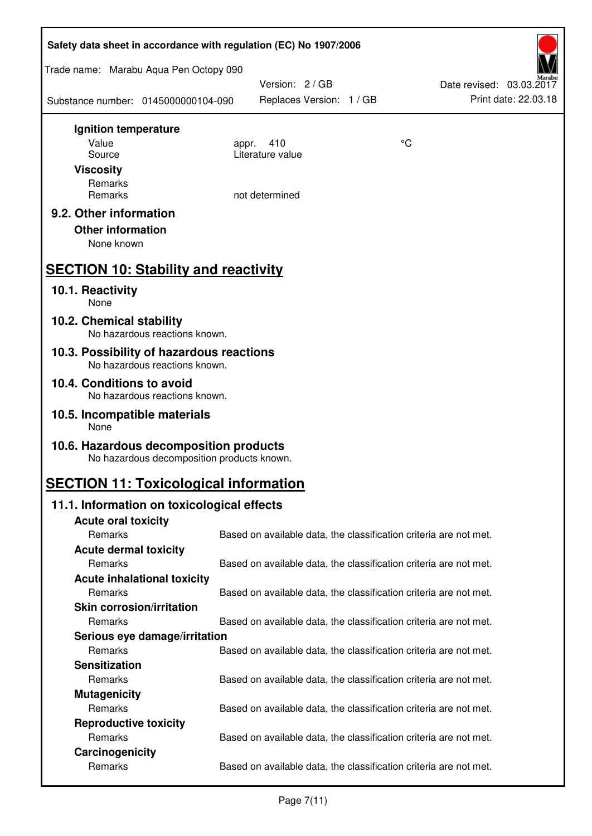| Safety data sheet in accordance with regulation (EC) No 1907/2006                    |                                                                   |    |                                                  |  |
|--------------------------------------------------------------------------------------|-------------------------------------------------------------------|----|--------------------------------------------------|--|
| Trade name: Marabu Aqua Pen Octopy 090                                               |                                                                   |    |                                                  |  |
| Substance number: 0145000000104-090                                                  | Version: 2 / GB<br>Replaces Version: 1 / GB                       |    | Date revised: 03.03.2017<br>Print date: 22.03.18 |  |
| Ignition temperature                                                                 |                                                                   |    |                                                  |  |
| Value<br>Source                                                                      | 410<br>appr.<br>Literature value                                  | °C |                                                  |  |
| <b>Viscosity</b>                                                                     |                                                                   |    |                                                  |  |
| Remarks                                                                              |                                                                   |    |                                                  |  |
| Remarks                                                                              | not determined                                                    |    |                                                  |  |
| 9.2. Other information<br><b>Other information</b><br>None known                     |                                                                   |    |                                                  |  |
| <b>SECTION 10: Stability and reactivity</b>                                          |                                                                   |    |                                                  |  |
| 10.1. Reactivity<br>None                                                             |                                                                   |    |                                                  |  |
| 10.2. Chemical stability<br>No hazardous reactions known.                            |                                                                   |    |                                                  |  |
| 10.3. Possibility of hazardous reactions<br>No hazardous reactions known.            |                                                                   |    |                                                  |  |
| 10.4. Conditions to avoid<br>No hazardous reactions known.                           |                                                                   |    |                                                  |  |
| 10.5. Incompatible materials<br>None                                                 |                                                                   |    |                                                  |  |
| 10.6. Hazardous decomposition products<br>No hazardous decomposition products known. |                                                                   |    |                                                  |  |
| <b>SECTION 11: Toxicological information</b>                                         |                                                                   |    |                                                  |  |
| 11.1. Information on toxicological effects                                           |                                                                   |    |                                                  |  |
| <b>Acute oral toxicity</b>                                                           |                                                                   |    |                                                  |  |
| Remarks                                                                              | Based on available data, the classification criteria are not met. |    |                                                  |  |
| <b>Acute dermal toxicity</b><br>Remarks                                              | Based on available data, the classification criteria are not met. |    |                                                  |  |
| <b>Acute inhalational toxicity</b>                                                   |                                                                   |    |                                                  |  |
| Remarks                                                                              | Based on available data, the classification criteria are not met. |    |                                                  |  |
| <b>Skin corrosion/irritation</b>                                                     |                                                                   |    |                                                  |  |
| Remarks                                                                              | Based on available data, the classification criteria are not met. |    |                                                  |  |
| Serious eye damage/irritation                                                        |                                                                   |    |                                                  |  |
| Remarks                                                                              | Based on available data, the classification criteria are not met. |    |                                                  |  |
| <b>Sensitization</b>                                                                 |                                                                   |    |                                                  |  |
| Remarks                                                                              | Based on available data, the classification criteria are not met. |    |                                                  |  |
| <b>Mutagenicity</b><br>Remarks                                                       |                                                                   |    |                                                  |  |
| <b>Reproductive toxicity</b>                                                         | Based on available data, the classification criteria are not met. |    |                                                  |  |
| Remarks                                                                              | Based on available data, the classification criteria are not met. |    |                                                  |  |
| Carcinogenicity                                                                      |                                                                   |    |                                                  |  |
| Remarks                                                                              | Based on available data, the classification criteria are not met. |    |                                                  |  |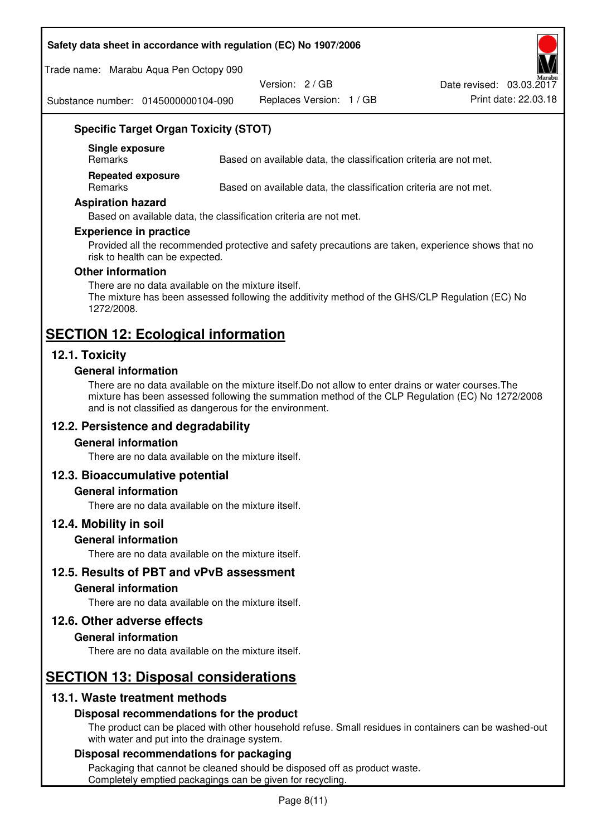#### **Safety data sheet in accordance with regulation (EC) No 1907/2006**

Trade name: Marabu Aqua Pen Octopy 090

Version: 2 / GB

Replaces Version: 1 / GB Print date: 22.03.18 Date revised: 03.03.2017

Substance number: 0145000000104-090

# **Specific Target Organ Toxicity (STOT)**

**Single exposure** 

Based on available data, the classification criteria are not met.

**Repeated exposure** 

Remarks Based on available data, the classification criteria are not met.

#### **Aspiration hazard**

Based on available data, the classification criteria are not met.

#### **Experience in practice**

Provided all the recommended protective and safety precautions are taken, experience shows that no risk to health can be expected.

#### **Other information**

There are no data available on the mixture itself. The mixture has been assessed following the additivity method of the GHS/CLP Regulation (EC) No 1272/2008.

# **SECTION 12: Ecological information**

# **12.1. Toxicity**

#### **General information**

There are no data available on the mixture itself.Do not allow to enter drains or water courses.The mixture has been assessed following the summation method of the CLP Regulation (EC) No 1272/2008 and is not classified as dangerous for the environment.

#### **12.2. Persistence and degradability**

#### **General information**

There are no data available on the mixture itself.

#### **12.3. Bioaccumulative potential**

#### **General information**

There are no data available on the mixture itself.

#### **12.4. Mobility in soil**

#### **General information**

There are no data available on the mixture itself.

**12.5. Results of PBT and vPvB assessment** 

#### **General information**

There are no data available on the mixture itself.

#### **12.6. Other adverse effects**

#### **General information**

There are no data available on the mixture itself.

# **SECTION 13: Disposal considerations**

# **13.1. Waste treatment methods**

#### **Disposal recommendations for the product**

The product can be placed with other household refuse. Small residues in containers can be washed-out with water and put into the drainage system.

#### **Disposal recommendations for packaging**

Packaging that cannot be cleaned should be disposed off as product waste. Completely emptied packagings can be given for recycling.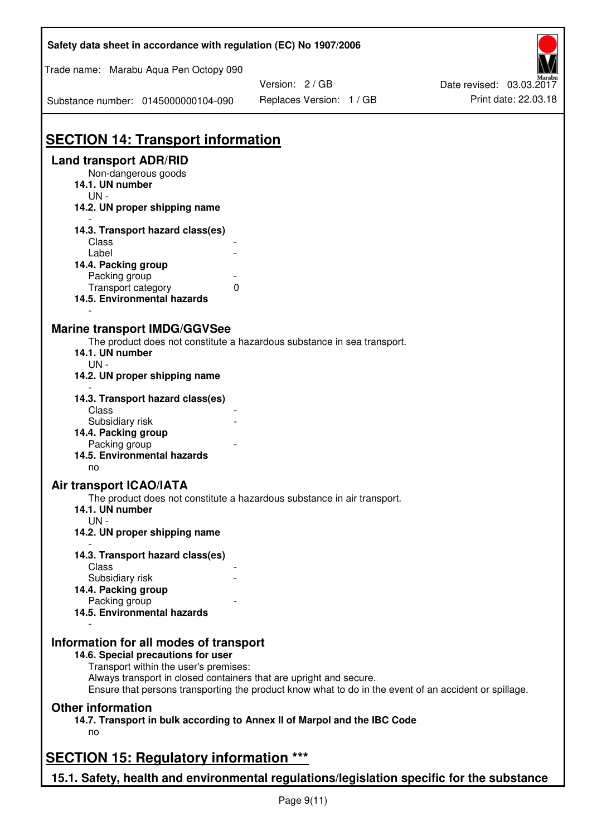| Safety data sheet in accordance with regulation (EC) No 1907/2006                         |                                                                                                                                                                             |                          |
|-------------------------------------------------------------------------------------------|-----------------------------------------------------------------------------------------------------------------------------------------------------------------------------|--------------------------|
| Trade name: Marabu Aqua Pen Octopy 090                                                    |                                                                                                                                                                             |                          |
|                                                                                           | Version: 2 / GB                                                                                                                                                             | Date revised: 03.03.2017 |
| Substance number: 0145000000104-090                                                       | Replaces Version: 1 / GB                                                                                                                                                    | Print date: 22.03.18     |
|                                                                                           |                                                                                                                                                                             |                          |
| <b>SECTION 14: Transport information</b><br><b>Land transport ADR/RID</b>                 |                                                                                                                                                                             |                          |
| Non-dangerous goods                                                                       |                                                                                                                                                                             |                          |
| 14.1. UN number<br>$UN -$                                                                 |                                                                                                                                                                             |                          |
| 14.2. UN proper shipping name                                                             |                                                                                                                                                                             |                          |
| 14.3. Transport hazard class(es)                                                          |                                                                                                                                                                             |                          |
| Class                                                                                     |                                                                                                                                                                             |                          |
| Label                                                                                     |                                                                                                                                                                             |                          |
| 14.4. Packing group                                                                       |                                                                                                                                                                             |                          |
| Packing group<br>Transport category                                                       | 0                                                                                                                                                                           |                          |
| 14.5. Environmental hazards                                                               |                                                                                                                                                                             |                          |
|                                                                                           |                                                                                                                                                                             |                          |
| <b>Marine transport IMDG/GGVSee</b>                                                       |                                                                                                                                                                             |                          |
| 14.1. UN number                                                                           | The product does not constitute a hazardous substance in sea transport.                                                                                                     |                          |
| $UN -$                                                                                    |                                                                                                                                                                             |                          |
| 14.2. UN proper shipping name                                                             |                                                                                                                                                                             |                          |
| 14.3. Transport hazard class(es)                                                          |                                                                                                                                                                             |                          |
| Class<br>Subsidiary risk                                                                  |                                                                                                                                                                             |                          |
| 14.4. Packing group                                                                       |                                                                                                                                                                             |                          |
| Packing group                                                                             |                                                                                                                                                                             |                          |
| 14.5. Environmental hazards                                                               |                                                                                                                                                                             |                          |
| no                                                                                        |                                                                                                                                                                             |                          |
| <b>Air transport ICAO/IATA</b>                                                            |                                                                                                                                                                             |                          |
|                                                                                           | The product does not constitute a hazardous substance in air transport.                                                                                                     |                          |
| 14.1. UN number<br>$UN -$                                                                 |                                                                                                                                                                             |                          |
| 14.2. UN proper shipping name                                                             |                                                                                                                                                                             |                          |
| 14.3. Transport hazard class(es)                                                          |                                                                                                                                                                             |                          |
| Class                                                                                     |                                                                                                                                                                             |                          |
| Subsidiary risk                                                                           |                                                                                                                                                                             |                          |
| 14.4. Packing group                                                                       |                                                                                                                                                                             |                          |
| Packing group                                                                             |                                                                                                                                                                             |                          |
| 14.5. Environmental hazards                                                               |                                                                                                                                                                             |                          |
| Information for all modes of transport                                                    |                                                                                                                                                                             |                          |
| 14.6. Special precautions for user                                                        |                                                                                                                                                                             |                          |
| Transport within the user's premises:                                                     |                                                                                                                                                                             |                          |
|                                                                                           | Always transport in closed containers that are upright and secure.<br>Ensure that persons transporting the product know what to do in the event of an accident or spillage. |                          |
| <b>Other information</b>                                                                  |                                                                                                                                                                             |                          |
|                                                                                           | 14.7. Transport in bulk according to Annex II of Marpol and the IBC Code                                                                                                    |                          |
| no                                                                                        |                                                                                                                                                                             |                          |
| <b>SECTION 15: Regulatory information ***</b>                                             |                                                                                                                                                                             |                          |
| 15.1. Safety, health and environmental regulations/legislation specific for the substance |                                                                                                                                                                             |                          |
|                                                                                           |                                                                                                                                                                             |                          |

Ī

٦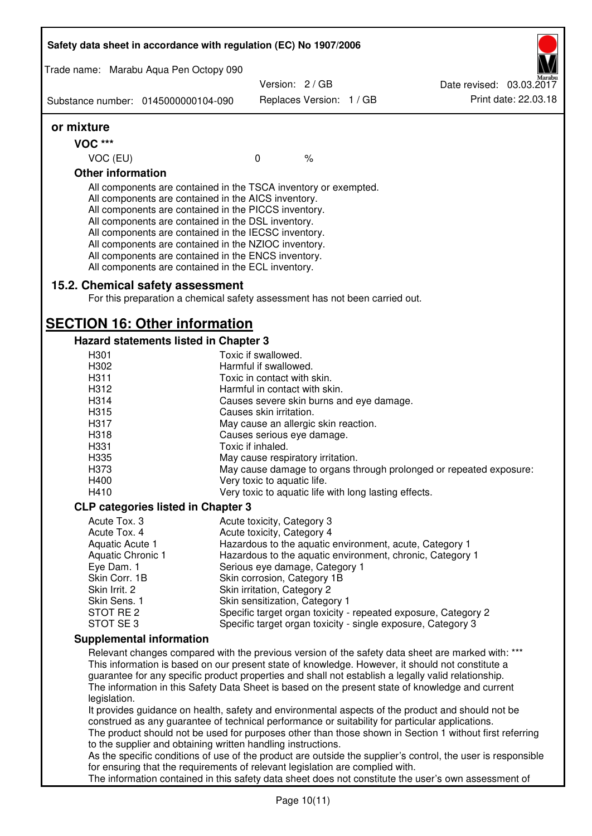|                                        | Safety data sheet in accordance with regulation (EC) No 1907/2006                                                                                                                                                                                                                                                                                                                                                                                                 |                                                       |      |                                                                                                              |
|----------------------------------------|-------------------------------------------------------------------------------------------------------------------------------------------------------------------------------------------------------------------------------------------------------------------------------------------------------------------------------------------------------------------------------------------------------------------------------------------------------------------|-------------------------------------------------------|------|--------------------------------------------------------------------------------------------------------------|
| Trade name: Marabu Aqua Pen Octopy 090 |                                                                                                                                                                                                                                                                                                                                                                                                                                                                   |                                                       |      |                                                                                                              |
|                                        |                                                                                                                                                                                                                                                                                                                                                                                                                                                                   | Version: 2/GB                                         |      | Date revised: 03.03.2017<br>Print date: 22.03.18                                                             |
| Substance number: 0145000000104-090    |                                                                                                                                                                                                                                                                                                                                                                                                                                                                   | Replaces Version: 1 / GB                              |      |                                                                                                              |
| or mixture                             |                                                                                                                                                                                                                                                                                                                                                                                                                                                                   |                                                       |      |                                                                                                              |
| <b>VOC ***</b>                         |                                                                                                                                                                                                                                                                                                                                                                                                                                                                   |                                                       |      |                                                                                                              |
| VOC (EU)                               |                                                                                                                                                                                                                                                                                                                                                                                                                                                                   | $\mathbf 0$                                           | $\%$ |                                                                                                              |
| <b>Other information</b>               |                                                                                                                                                                                                                                                                                                                                                                                                                                                                   |                                                       |      |                                                                                                              |
|                                        | All components are contained in the TSCA inventory or exempted.<br>All components are contained in the AICS inventory.<br>All components are contained in the PICCS inventory.<br>All components are contained in the DSL inventory.<br>All components are contained in the IECSC inventory.<br>All components are contained in the NZIOC inventory.<br>All components are contained in the ENCS inventory.<br>All components are contained in the ECL inventory. |                                                       |      |                                                                                                              |
|                                        | 15.2. Chemical safety assessment<br>For this preparation a chemical safety assessment has not been carried out.                                                                                                                                                                                                                                                                                                                                                   |                                                       |      |                                                                                                              |
|                                        | <b>SECTION 16: Other information</b>                                                                                                                                                                                                                                                                                                                                                                                                                              |                                                       |      |                                                                                                              |
|                                        | Hazard statements listed in Chapter 3                                                                                                                                                                                                                                                                                                                                                                                                                             |                                                       |      |                                                                                                              |
| H301                                   |                                                                                                                                                                                                                                                                                                                                                                                                                                                                   | Toxic if swallowed.                                   |      |                                                                                                              |
| H302                                   |                                                                                                                                                                                                                                                                                                                                                                                                                                                                   | Harmful if swallowed.                                 |      |                                                                                                              |
| H311                                   |                                                                                                                                                                                                                                                                                                                                                                                                                                                                   | Toxic in contact with skin.                           |      |                                                                                                              |
| H312                                   |                                                                                                                                                                                                                                                                                                                                                                                                                                                                   | Harmful in contact with skin.                         |      |                                                                                                              |
| H314                                   |                                                                                                                                                                                                                                                                                                                                                                                                                                                                   | Causes severe skin burns and eye damage.              |      |                                                                                                              |
| H315                                   |                                                                                                                                                                                                                                                                                                                                                                                                                                                                   | Causes skin irritation.                               |      |                                                                                                              |
| H317                                   |                                                                                                                                                                                                                                                                                                                                                                                                                                                                   | May cause an allergic skin reaction.                  |      |                                                                                                              |
| H318                                   |                                                                                                                                                                                                                                                                                                                                                                                                                                                                   | Causes serious eye damage.                            |      |                                                                                                              |
| H331                                   |                                                                                                                                                                                                                                                                                                                                                                                                                                                                   | Toxic if inhaled.                                     |      |                                                                                                              |
| H335<br>H373                           |                                                                                                                                                                                                                                                                                                                                                                                                                                                                   | May cause respiratory irritation.                     |      |                                                                                                              |
| H400                                   |                                                                                                                                                                                                                                                                                                                                                                                                                                                                   | Very toxic to aquatic life.                           |      | May cause damage to organs through prolonged or repeated exposure:                                           |
| H410                                   |                                                                                                                                                                                                                                                                                                                                                                                                                                                                   | Very toxic to aquatic life with long lasting effects. |      |                                                                                                              |
|                                        |                                                                                                                                                                                                                                                                                                                                                                                                                                                                   |                                                       |      |                                                                                                              |
|                                        | <b>CLP categories listed in Chapter 3</b>                                                                                                                                                                                                                                                                                                                                                                                                                         |                                                       |      |                                                                                                              |
| Acute Tox. 3<br>Acute Tox. 4           |                                                                                                                                                                                                                                                                                                                                                                                                                                                                   | Acute toxicity, Category 3                            |      |                                                                                                              |
| Aquatic Acute 1                        |                                                                                                                                                                                                                                                                                                                                                                                                                                                                   | Acute toxicity, Category 4                            |      | Hazardous to the aquatic environment, acute, Category 1                                                      |
| Aquatic Chronic 1                      |                                                                                                                                                                                                                                                                                                                                                                                                                                                                   |                                                       |      | Hazardous to the aquatic environment, chronic, Category 1                                                    |
| Eye Dam. 1                             |                                                                                                                                                                                                                                                                                                                                                                                                                                                                   | Serious eye damage, Category 1                        |      |                                                                                                              |
| Skin Corr. 1B                          |                                                                                                                                                                                                                                                                                                                                                                                                                                                                   | Skin corrosion, Category 1B                           |      |                                                                                                              |
| Skin Irrit. 2                          |                                                                                                                                                                                                                                                                                                                                                                                                                                                                   | Skin irritation, Category 2                           |      |                                                                                                              |
| Skin Sens. 1                           |                                                                                                                                                                                                                                                                                                                                                                                                                                                                   | Skin sensitization, Category 1                        |      |                                                                                                              |
| STOT RE 2                              |                                                                                                                                                                                                                                                                                                                                                                                                                                                                   |                                                       |      | Specific target organ toxicity - repeated exposure, Category 2                                               |
| STOT SE3                               |                                                                                                                                                                                                                                                                                                                                                                                                                                                                   |                                                       |      | Specific target organ toxicity - single exposure, Category 3                                                 |
| <b>Supplemental information</b>        |                                                                                                                                                                                                                                                                                                                                                                                                                                                                   |                                                       |      |                                                                                                              |
|                                        |                                                                                                                                                                                                                                                                                                                                                                                                                                                                   |                                                       |      | Relevant changes compared with the previous version of the safety data sheet are marked with: ***            |
|                                        |                                                                                                                                                                                                                                                                                                                                                                                                                                                                   |                                                       |      | This information is based on our present state of knowledge. However, it should not constitute a             |
|                                        |                                                                                                                                                                                                                                                                                                                                                                                                                                                                   |                                                       |      | guarantee for any specific product properties and shall not establish a legally valid relationship.          |
|                                        |                                                                                                                                                                                                                                                                                                                                                                                                                                                                   |                                                       |      | The information in this Safety Data Sheet is based on the present state of knowledge and current             |
| legislation.                           |                                                                                                                                                                                                                                                                                                                                                                                                                                                                   |                                                       |      |                                                                                                              |
|                                        |                                                                                                                                                                                                                                                                                                                                                                                                                                                                   |                                                       |      | It provides guidance on health, safety and environmental aspects of the product and should not be            |
|                                        | construed as any guarantee of technical performance or suitability for particular applications.                                                                                                                                                                                                                                                                                                                                                                   |                                                       |      |                                                                                                              |
|                                        |                                                                                                                                                                                                                                                                                                                                                                                                                                                                   |                                                       |      | The product should not be used for purposes other than those shown in Section 1 without first referring      |
|                                        | to the supplier and obtaining written handling instructions.                                                                                                                                                                                                                                                                                                                                                                                                      |                                                       |      | As the specific conditions of use of the product are outside the supplier's control, the user is responsible |
|                                        | for ensuring that the requirements of relevant legislation are complied with.                                                                                                                                                                                                                                                                                                                                                                                     |                                                       |      |                                                                                                              |
|                                        |                                                                                                                                                                                                                                                                                                                                                                                                                                                                   |                                                       |      | The information contained in this safety data sheet does not constitute the user's own assessment of         |